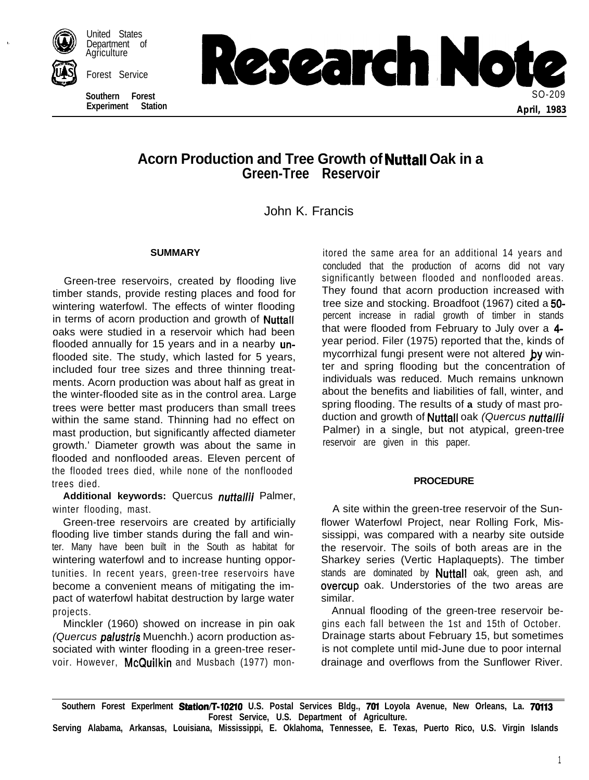

United States Department of Agriculture

**Southern Forest Experiment** 



# **Acorn Production and Tree Growth of Nuttall Oak in a Green-Tree Reservoir**

John K. Francis

### **SUMMARY**

Green-tree reservoirs, created by flooding live timber stands, provide resting places and food for wintering waterfowl. The effects of winter flooding in terms of acorn production and growth of Nuttall oaks were studied in a reservoir which had been flooded annually for 15 years and in a nearby unflooded site. The study, which lasted for 5 years, included four tree sizes and three thinning treatments. Acorn production was about half as great in the winter-flooded site as in the control area. Large trees were better mast producers than small trees within the same stand. Thinning had no effect on mast production, but significantly affected diameter growth.' Diameter growth was about the same in flooded and nonflooded areas. Eleven percent of the flooded trees died, while none of the nonflooded trees died.

**Additional keywords:** Quercus nuttallii Palmer, winter flooding, mast.

Green-tree reservoirs are created by artificially flooding live timber stands during the fall and winter. Many have been built in the South as habitat for wintering waterfowl and to increase hunting opportunities. In recent years, green-tree reservoirs have become a convenient means of mitigating the impact of waterfowl habitat destruction by large water projects.

Minckler (1960) showed on increase in pin oak *(Quercus* palustris Muenchh.) acorn production associated with winter flooding in a green-tree reservoir. However, McQuilkin and Musbach (1977) monitored the same area for an additional 14 years and concluded that the production of acorns did not vary significantly between flooded and nonflooded areas. They found that acorn production increased with tree size and stocking. Broadfoot (1967) cited a 50 percent increase in radial growth of timber in stands that were flooded from February to July over a 4 year period. Filer (1975) reported that the, kinds of mycorrhizal fungi present were not altered by winter and spring flooding but the concentration of individuals was reduced. Much remains unknown about the benefits and liabilities of fall, winter, and spring flooding. The results of **a** study of mast production and growth of Nuttall oak *(Quercus nuttalh'i* Palmer) in a single, but not atypical, green-tree reservoir are given in this paper.

# **PROCEDURE**

A site within the green-tree reservoir of the Sunflower Waterfowl Project, near Rolling Fork, Mississippi, was compared with a nearby site outside the reservoir. The soils of both areas are in the Sharkey series (Vertic Haplaquepts). The timber stands are dominated by **Nuttall** oak, green ash, and overcup oak. Understories of the two areas are similar.

Annual flooding of the green-tree reservoir begins each fall between the 1st and 15th of October. Drainage starts about February 15, but sometimes is not complete until mid-June due to poor internal drainage and overflows from the Sunflower River.

**Southern Forest Experlment Station/T-102fO U.S. Postal Services Bldg., 701 Loyola Avenue, New Orleans, La. 70113 Forest Service, U.S. Department of Agriculture.**

**Serving Alabama, Arkansas, Louisiana, Mississippi, E. Oklahoma, Tennessee, E. Texas, Puerto Rico, U.S. Virgin Islands**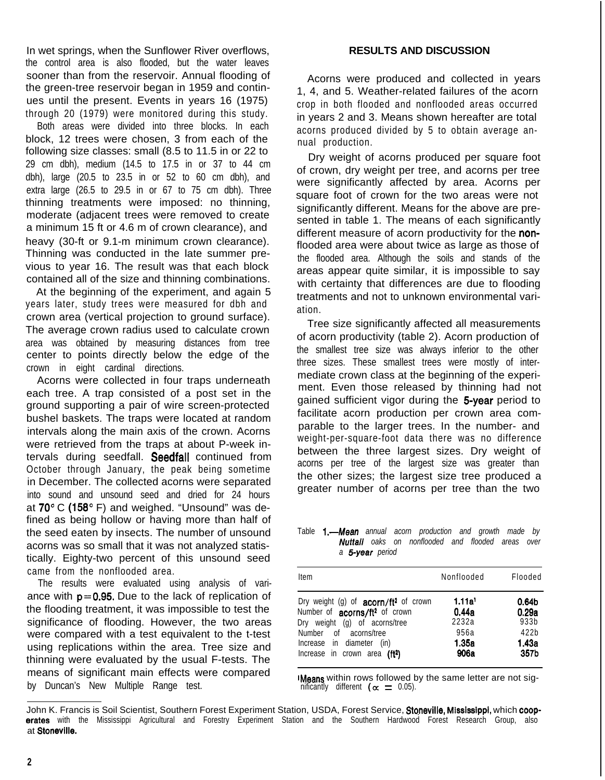In wet springs, when the Sunflower River overflows, the control area is also flooded, but the water leaves sooner than from the reservoir. Annual flooding of the green-tree reservoir began in 1959 and continues until the present. Events in years 16 (1975) through 20 (1979) were monitored during this study.

Both areas were divided into three blocks. In each block, 12 trees were chosen, 3 from each of the following size classes: small (8.5 to 11.5 in or 22 to 29 cm dbh), medium (14.5 to 17.5 in or 37 to 44 cm dbh), large (20.5 to 23.5 in or 52 to 60 cm dbh), and extra large (26.5 to 29.5 in or 67 to 75 cm dbh). Three thinning treatments were imposed: no thinning, moderate (adjacent trees were removed to create a minimum 15 ft or 4.6 m of crown clearance), and heavy (30-ft or 9.1-m minimum crown clearance). Thinning was conducted in the late summer previous to year 16. The result was that each block contained all of the size and thinning combinations.

At the beginning of the experiment, and again 5 years later, study trees were measured for dbh and crown area (vertical projection to ground surface). The average crown radius used to calculate crown area was obtained by measuring distances from tree center to points directly below the edge of the crown in eight cardinal directions.

Acorns were collected in four traps underneath each tree. A trap consisted of a post set in the ground supporting a pair of wire screen-protected bushel baskets. The traps were located at random intervals along the main axis of the crown. Acorns were retrieved from the traps at about P-week intervals during seedfall. Seedfall continued from October through January, the peak being sometime in December. The collected acorns were separated into sound and unsound seed and dried for 24 hours at  $70^{\circ}$  C (158 $^{\circ}$  F) and weighed. "Unsound" was defined as being hollow or having more than half of the seed eaten by insects. The number of unsound acorns was so small that it was not analyzed statistically. Eighty-two percent of this unsound seed came from the nonflooded area.

The results were evaluated using analysis of variance with  $p=0.95$ . Due to the lack of replication of the flooding treatment, it was impossible to test the significance of flooding. However, the two areas were compared with a test equivalent to the t-test using replications within the area. Tree size and thinning were evaluated by the usual F-tests. The means of significant main effects were compared by Duncan's New Multiple Range test.

## **RESULTS AND DISCUSSION**

Acorns were produced and collected in years 1, 4, and 5. Weather-related failures of the acorn crop in both flooded and nonflooded areas occurred in years 2 and 3. Means shown hereafter are total acorns produced divided by 5 to obtain average annual production.

Dry weight of acorns produced per square foot of crown, dry weight per tree, and acorns per tree were significantly affected by area. Acorns per square foot of crown for the two areas were not significantly different. Means for the above are presented in table 1. The means of each significantly different measure of acorn productivity for the nonflooded area were about twice as large as those of the flooded area. Although the soils and stands of the areas appear quite similar, it is impossible to say with certainty that differences are due to flooding treatments and not to unknown environmental variation.

Tree size significantly affected all measurements of acorn productivity (table 2). Acorn production of the smallest tree size was always inferior to the other three sizes. These smallest trees were mostly of intermediate crown class at the beginning of the experiment. Even those released by thinning had not gained sufficient vigor during the 5-year period to facilitate acorn production per crown area comparable to the larger trees. In the number- and weight-per-square-foot data there was no difference between the three largest sizes. Dry weight of acorns per tree of the largest size was greater than the other sizes; the largest size tree produced a greater number of acorns per tree than the two

Table **1.-Mean** annual acorn production and growth made by *Nuttall oaks on nonflooded and flooded areas over a 5year period*

| Item                                                                                                                           | Nonflooded                           | Flooded                            |
|--------------------------------------------------------------------------------------------------------------------------------|--------------------------------------|------------------------------------|
| Dry weight (g) of acorn/ft <sup>2</sup> of crown<br>Number of acorns/ft <sup>2</sup> of crown<br>Dry weight (g) of acorns/tree | 1.11a <sup>1</sup><br>0.44a<br>2232a | 0.64 <sub>b</sub><br>0.29a<br>933b |
| Number of acorns/tree<br>Increase in diameter<br>(in)<br>Increase in crown area (ft <sup>2</sup> )                             | 956a<br>1.35a<br>906a                | 422b<br>1.43a<br>357b              |

IMeans within rows followed by the same letter are not significantly different ( $\alpha = 0.05$ ).

John K. Francis is Soil Scientist, Southern Forest Experiment Station, USDA, Forest Service, Stoneville, Mississippi, which coop**erates** with the Mississippi Agricultural and Forestry Experiment Station and the Southern Hardwood Forest Research Group, also at Stoneville.